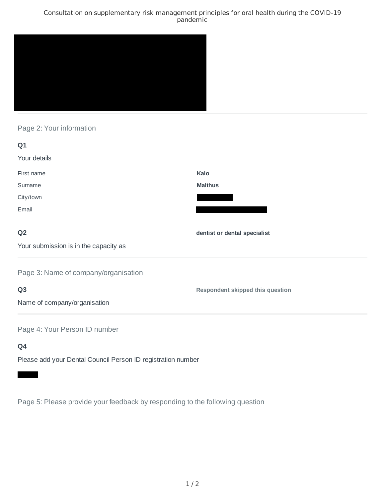## Consultation on supplementary risk management principles for oral health during the COVID-19 pandemic



# Page 2: Your information

| Q1                                                           |                                  |
|--------------------------------------------------------------|----------------------------------|
| Your details                                                 |                                  |
| First name                                                   | Kalo                             |
| Surname                                                      | <b>Malthus</b>                   |
| City/town                                                    |                                  |
| Email                                                        |                                  |
| Q <sub>2</sub>                                               | dentist or dental specialist     |
| Your submission is in the capacity as                        |                                  |
| Page 3: Name of company/organisation                         |                                  |
| Q <sub>3</sub>                                               | Respondent skipped this question |
| Name of company/organisation                                 |                                  |
| Page 4: Your Person ID number                                |                                  |
| Q4                                                           |                                  |
| Please add your Dental Council Person ID registration number |                                  |

Page 5: Please provide your feedback by responding to the following question